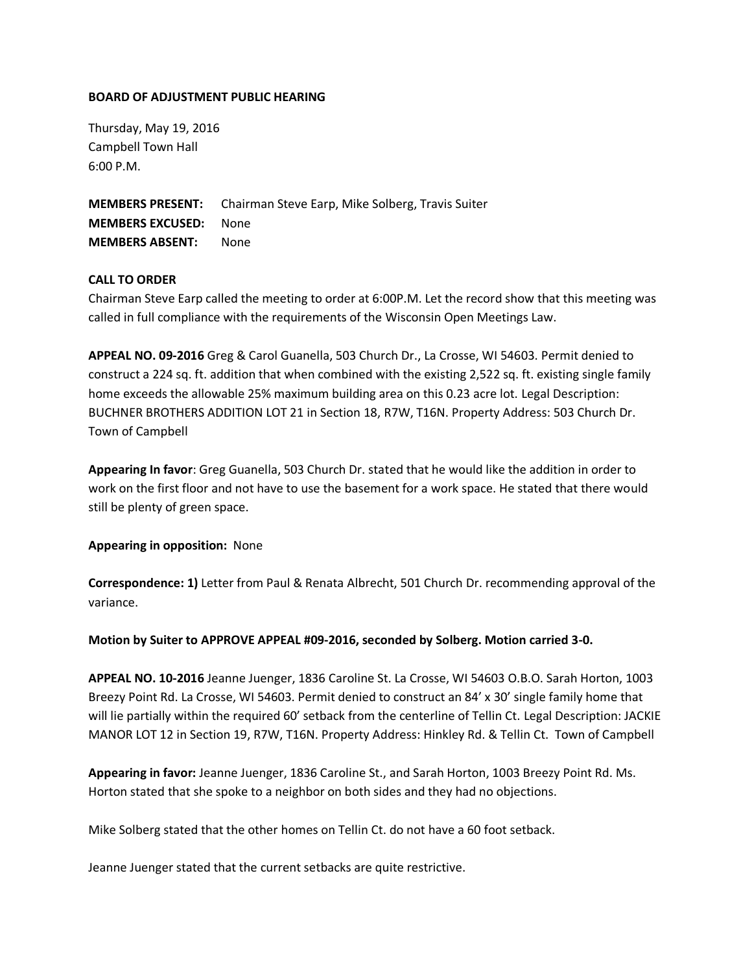## **BOARD OF ADJUSTMENT PUBLIC HEARING**

Thursday, May 19, 2016 Campbell Town Hall 6:00 P.M.

**MEMBERS PRESENT:** Chairman Steve Earp, Mike Solberg, Travis Suiter **MEMBERS EXCUSED:** None **MEMBERS ABSENT:** None

## **CALL TO ORDER**

Chairman Steve Earp called the meeting to order at 6:00P.M. Let the record show that this meeting was called in full compliance with the requirements of the Wisconsin Open Meetings Law.

**APPEAL NO. 09-2016** Greg & Carol Guanella, 503 Church Dr., La Crosse, WI 54603. Permit denied to construct a 224 sq. ft. addition that when combined with the existing 2,522 sq. ft. existing single family home exceeds the allowable 25% maximum building area on this 0.23 acre lot. Legal Description: BUCHNER BROTHERS ADDITION LOT 21 in Section 18, R7W, T16N. Property Address: 503 Church Dr. Town of Campbell

**Appearing In favor**: Greg Guanella, 503 Church Dr. stated that he would like the addition in order to work on the first floor and not have to use the basement for a work space. He stated that there would still be plenty of green space.

**Appearing in opposition:** None

**Correspondence: 1)** Letter from Paul & Renata Albrecht, 501 Church Dr. recommending approval of the variance.

**Motion by Suiter to APPROVE APPEAL #09-2016, seconded by Solberg. Motion carried 3-0.** 

**APPEAL NO. 10-2016** Jeanne Juenger, 1836 Caroline St. La Crosse, WI 54603 O.B.O. Sarah Horton, 1003 Breezy Point Rd. La Crosse, WI 54603. Permit denied to construct an 84' x 30' single family home that will lie partially within the required 60' setback from the centerline of Tellin Ct. Legal Description: JACKIE MANOR LOT 12 in Section 19, R7W, T16N. Property Address: Hinkley Rd. & Tellin Ct. Town of Campbell

**Appearing in favor:** Jeanne Juenger, 1836 Caroline St., and Sarah Horton, 1003 Breezy Point Rd. Ms. Horton stated that she spoke to a neighbor on both sides and they had no objections.

Mike Solberg stated that the other homes on Tellin Ct. do not have a 60 foot setback.

Jeanne Juenger stated that the current setbacks are quite restrictive.